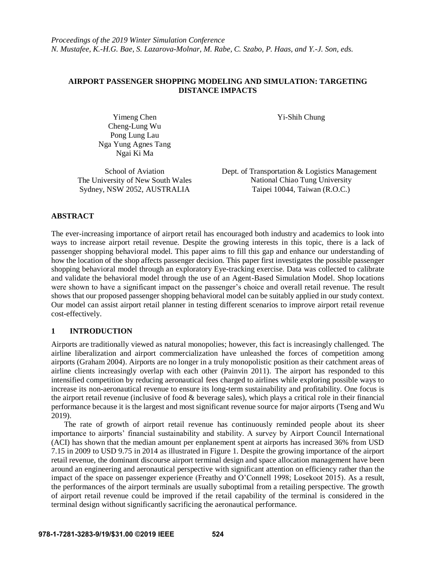# **AIRPORT PASSENGER SHOPPING MODELING AND SIMULATION: TARGETING DISTANCE IMPACTS**

Yi-Shih Chung Chen Yi-Shih Chung Cheng-Lung Wu Pong Lung Lau Nga Yung Agnes Tang Ngai Ki Ma

Sydney, NSW 2052, AUSTRALIA

School of Aviation Dept. of Transportation & Logistics Management The University of New South Wales<br>
Sydney, NSW 2052, AUSTRALIA<br>
Taipei 10044, Taiwan (R.O.C.)

# **ABSTRACT**

The ever-increasing importance of airport retail has encouraged both industry and academics to look into ways to increase airport retail revenue. Despite the growing interests in this topic, there is a lack of passenger shopping behavioral model. This paper aims to fill this gap and enhance our understanding of how the location of the shop affects passenger decision. This paper first investigates the possible passenger shopping behavioral model through an exploratory Eye-tracking exercise. Data was collected to calibrate and validate the behavioral model through the use of an Agent-Based Simulation Model. Shop locations were shown to have a significant impact on the passenger's choice and overall retail revenue. The result shows that our proposed passenger shopping behavioral model can be suitably applied in our study context. Our model can assist airport retail planner in testing different scenarios to improve airport retail revenue cost-effectively.

# **1 INTRODUCTION**

Airports are traditionally viewed as natural monopolies; however, this fact is increasingly challenged. The airline liberalization and airport commercialization have unleashed the forces of competition among airports (Graham 2004). Airports are no longer in a truly monopolistic position as their catchment areas of airline clients increasingly overlap with each other (Painvin 2011). The airport has responded to this intensified competition by reducing aeronautical fees charged to airlines while exploring possible ways to increase its non-aeronautical revenue to ensure its long-term sustainability and profitability. One focus is the airport retail revenue (inclusive of food & beverage sales), which plays a critical role in their financial performance because it is the largest and most significant revenue source for major airports (Tseng and Wu 2019).

The rate of growth of airport retail revenue has continuously reminded people about its sheer importance to airports' financial sustainability and stability. A survey by Airport Council International (ACI) has shown that the median amount per enplanement spent at airports has increased 36% from USD 7.15 in 2009 to USD 9.75 in 2014 as illustrated in Figure 1. Despite the growing importance of the airport retail revenue, the dominant discourse airport terminal design and space allocation management have been around an engineering and aeronautical perspective with significant attention on efficiency rather than the impact of the space on passenger experience (Freathy and O'Connell 1998; Losekoot 2015). As a result, the performances of the airport terminals are usually suboptimal from a retailing perspective. The growth of airport retail revenue could be improved if the retail capability of the terminal is considered in the terminal design without significantly sacrificing the aeronautical performance.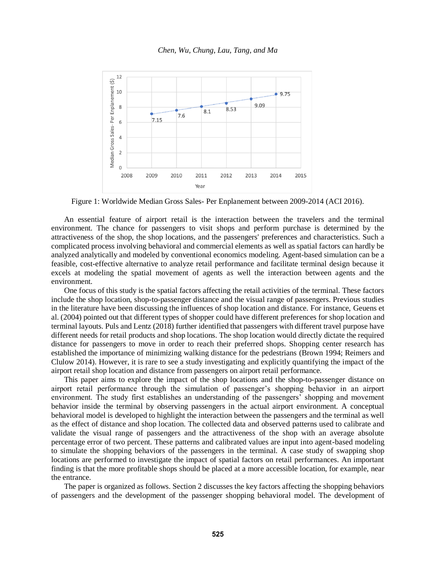

Figure 1: Worldwide Median Gross Sales- Per Enplanement between 2009-2014 (ACI 2016).

An essential feature of airport retail is the interaction between the travelers and the terminal environment. The chance for passengers to visit shops and perform purchase is determined by the attractiveness of the shop, the shop locations, and the passengers' preferences and characteristics. Such a complicated process involving behavioral and commercial elements as well as spatial factors can hardly be analyzed analytically and modeled by conventional economics modeling. Agent-based simulation can be a feasible, cost-effective alternative to analyze retail performance and facilitate terminal design because it excels at modeling the spatial movement of agents as well the interaction between agents and the environment.

One focus of this study is the spatial factors affecting the retail activities of the terminal. These factors include the shop location, shop-to-passenger distance and the visual range of passengers. Previous studies in the literature have been discussing the influences of shop location and distance. For instance, Geuens et al. (2004) pointed out that different types of shopper could have different preferences for shop location and terminal layouts. Puls and Lentz (2018) further identified that passengers with different travel purpose have different needs for retail products and shop locations. The shop location would directly dictate the required distance for passengers to move in order to reach their preferred shops. Shopping center research has established the importance of minimizing walking distance for the pedestrians (Brown 1994; Reimers and Clulow 2014). However, it is rare to see a study investigating and explicitly quantifying the impact of the airport retail shop location and distance from passengers on airport retail performance.

This paper aims to explore the impact of the shop locations and the shop-to-passenger distance on airport retail performance through the simulation of passenger's shopping behavior in an airport environment. The study first establishes an understanding of the passengers' shopping and movement behavior inside the terminal by observing passengers in the actual airport environment. A conceptual behavioral model is developed to highlight the interaction between the passengers and the terminal as well as the effect of distance and shop location. The collected data and observed patterns used to calibrate and validate the visual range of passengers and the attractiveness of the shop with an average absolute percentage error of two percent. These patterns and calibrated values are input into agent-based modeling to simulate the shopping behaviors of the passengers in the terminal. A case study of swapping shop locations are performed to investigate the impact of spatial factors on retail performances. An important finding is that the more profitable shops should be placed at a more accessible location, for example, near the entrance.

The paper is organized as follows. Section 2 discusses the key factors affecting the shopping behaviors of passengers and the development of the passenger shopping behavioral model. The development of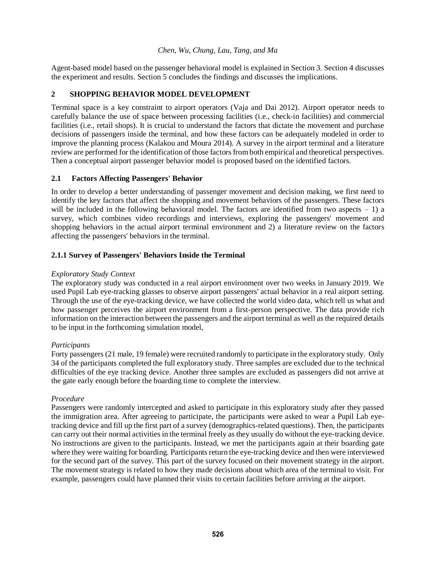Agent-based model based on the passenger behavioral model is explained in Section 3. Section 4 discusses the experiment and results. Section 5 concludes the findings and discusses the implications.

# **2 SHOPPING BEHAVIOR MODEL DEVELOPMENT**

Terminal space is a key constraint to airport operators (Vaja and Dai 2012). Airport operator needs to carefully balance the use of space between processing facilities (i.e., check-in facilities) and commercial facilities (i.e., retail shops). It is crucial to understand the factors that dictate the movement and purchase decisions of passengers inside the terminal, and how these factors can be adequately modeled in order to improve the planning process (Kalakou and Moura 2014). A survey in the airport terminal and a literature review are performed for the identification of those factors from both empirical and theoretical perspectives. Then a conceptual airport passenger behavior model is proposed based on the identified factors.

## **2.1 Factors Affecting Passengers' Behavior**

In order to develop a better understanding of passenger movement and decision making, we first need to identify the key factors that affect the shopping and movement behaviors of the passengers. These factors will be included in the following behavioral model. The factors are identified from two aspects  $-1$ ) a survey, which combines video recordings and interviews, exploring the passengers' movement and shopping behaviors in the actual airport terminal environment and 2) a literature review on the factors affecting the passengers' behaviors in the terminal.

## **2.1.1 Survey of Passengers' Behaviors Inside the Terminal**

#### *Exploratory Study Context*

The exploratory study was conducted in a real airport environment over two weeks in January 2019. We used Pupil Lab eye-tracking glasses to observe airport passengers' actual behavior in a real airport setting. Through the use of the eye-tracking device, we have collected the world video data, which tell us what and how passenger perceives the airport environment from a first-person perspective. The data provide rich information on the interaction between the passengers and the airport terminal as well as the required details to be input in the forthcoming simulation model,

#### *Participants*

Forty passengers (21 male, 19 female) were recruited randomly to participate in the exploratory study. Only 34 of the participants completed the full exploratory study. Three samples are excluded due to the technical difficulties of the eye tracking device. Another three samples are excluded as passengers did not arrive at the gate early enough before the boarding time to complete the interview.

#### *Procedure*

Passengers were randomly intercepted and asked to participate in this exploratory study after they passed the immigration area. After agreeing to participate, the participants were asked to wear a Pupil Lab eyetracking device and fill up the first part of a survey (demographics-related questions). Then, the participants can carry out their normal activities in the terminal freely as they usually do without the eye-tracking device. No instructions are given to the participants. Instead, we met the participants again at their boarding gate where they were waiting for boarding. Participants return the eye-tracking device and then were interviewed for the second part of the survey. This part of the survey focused on their movement strategy in the airport. The movement strategy is related to how they made decisions about which area of the terminal to visit. For example, passengers could have planned their visits to certain facilities before arriving at the airport.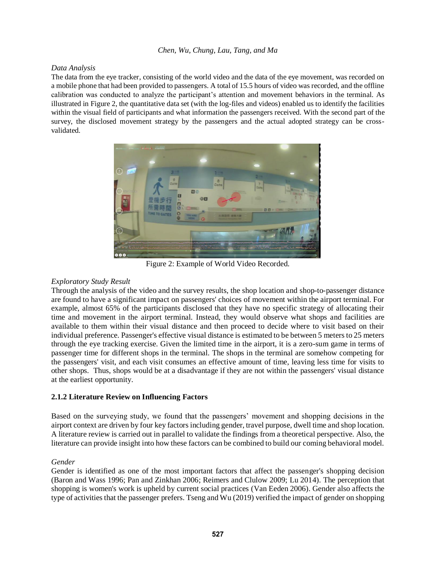### *Data Analysis*

The data from the eye tracker, consisting of the world video and the data of the eye movement, was recorded on a mobile phone that had been provided to passengers. A total of 15.5 hours of video was recorded, and the offline calibration was conducted to analyze the participant's attention and movement behaviors in the terminal. As illustrated in Figure 2, the quantitative data set (with the log-files and videos) enabled us to identify the facilities within the visual field of participants and what information the passengers received. With the second part of the survey, the disclosed movement strategy by the passengers and the actual adopted strategy can be crossvalidated.



Figure 2: Example of World Video Recorded.

## *Exploratory Study Result*

Through the analysis of the video and the survey results, the shop location and shop-to-passenger distance are found to have a significant impact on passengers' choices of movement within the airport terminal. For example, almost 65% of the participants disclosed that they have no specific strategy of allocating their time and movement in the airport terminal. Instead, they would observe what shops and facilities are available to them within their visual distance and then proceed to decide where to visit based on their individual preference. Passenger's effective visual distance is estimated to be between 5 meters to 25 meters through the eye tracking exercise. Given the limited time in the airport, it is a zero-sum game in terms of passenger time for different shops in the terminal. The shops in the terminal are somehow competing for the passengers' visit, and each visit consumes an effective amount of time, leaving less time for visits to other shops. Thus, shops would be at a disadvantage if they are not within the passengers' visual distance at the earliest opportunity.

## **2.1.2 Literature Review on Influencing Factors**

Based on the surveying study, we found that the passengers' movement and shopping decisions in the airport context are driven by four key factors including gender, travel purpose, dwell time and shop location. A literature review is carried out in parallel to validate the findings from a theoretical perspective. Also, the literature can provide insight into how these factors can be combined to build our coming behavioral model.

## *Gender*

Gender is identified as one of the most important factors that affect the passenger's shopping decision (Baron and Wass 1996; Pan and Zinkhan 2006; Reimers and Clulow 2009; Lu 2014). The perception that shopping is women's work is upheld by current social practices (Van Eeden 2006). Gender also affects the type of activities that the passenger prefers. Tseng and Wu (2019) verified the impact of gender on shopping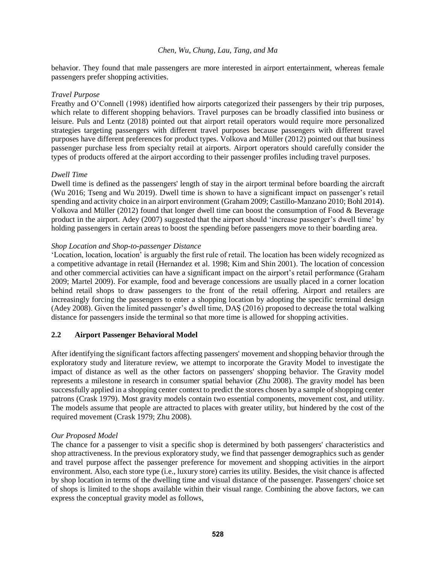behavior. They found that male passengers are more interested in airport entertainment, whereas female passengers prefer shopping activities.

### *Travel Purpose*

Freathy and O'Connell (1998) identified how airports categorized their passengers by their trip purposes, which relate to different shopping behaviors. Travel purposes can be broadly classified into business or leisure. Puls and Lentz (2018) pointed out that airport retail operators would require more personalized strategies targeting passengers with different travel purposes because passengers with different travel purposes have different preferences for product types. Volkova and Müller (2012) pointed out that business passenger purchase less from specialty retail at airports. Airport operators should carefully consider the types of products offered at the airport according to their passenger profiles including travel purposes.

## *Dwell Time*

Dwell time is defined as the passengers' length of stay in the airport terminal before boarding the aircraft (Wu 2016; Tseng and Wu 2019). Dwell time is shown to have a significant impact on passenger's retail spending and activity choice in an airport environment (Graham 2009; Castillo-Manzano 2010; Bohl 2014). Volkova and Müller (2012) found that longer dwell time can boost the consumption of Food & Beverage product in the airport. Adey (2007) suggested that the airport should 'increase passenger's dwell time' by holding passengers in certain areas to boost the spending before passengers move to their boarding area.

### *Shop Location and Shop-to-passenger Distance*

'Location, location, location' is arguably the first rule of retail. The location has been widely recognized as a competitive advantage in retail (Hernandez et al. 1998; Kim and Shin 2001). The location of concession and other commercial activities can have a significant impact on the airport's retail performance (Graham 2009; Martel 2009). For example, food and beverage concessions are usually placed in a corner location behind retail shops to draw passengers to the front of the retail offering. Airport and retailers are increasingly forcing the passengers to enter a shopping location by adopting the specific terminal design (Adey 2008). Given the limited passenger's dwell time, DAŞ (2016) proposed to decrease the total walking distance for passengers inside the terminal so that more time is allowed for shopping activities.

## **2.2 Airport Passenger Behavioral Model**

After identifying the significant factors affecting passengers' movement and shopping behavior through the exploratory study and literature review, we attempt to incorporate the Gravity Model to investigate the impact of distance as well as the other factors on passengers' shopping behavior. The Gravity model represents a milestone in research in consumer spatial behavior (Zhu 2008). The gravity model has been successfully applied in a shopping center context to predict the stores chosen by a sample of shopping center patrons (Crask 1979). Most gravity models contain two essential components, movement cost, and utility. The models assume that people are attracted to places with greater utility, but hindered by the cost of the required movement (Crask 1979; Zhu 2008).

#### *Our Proposed Model*

The chance for a passenger to visit a specific shop is determined by both passengers' characteristics and shop attractiveness. In the previous exploratory study, we find that passenger demographics such as gender and travel purpose affect the passenger preference for movement and shopping activities in the airport environment. Also, each store type (i.e., luxury store) carries its utility. Besides, the visit chance is affected by shop location in terms of the dwelling time and visual distance of the passenger. Passengers' choice set of shops is limited to the shops available within their visual range. Combining the above factors, we can express the conceptual gravity model as follows,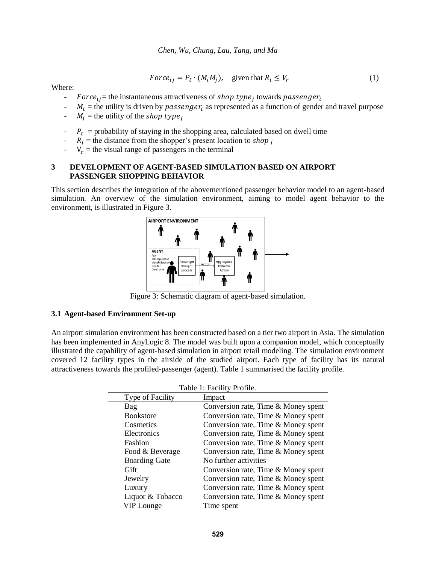$$
Force_{ij} = P_t \cdot (M_i M_j), \quad \text{given that } R_i \le V_r \tag{1}
$$

Where:

- Force<sub>ij</sub> = the instantaneous attractiveness of shop type<sub>j</sub> towards passenger<sub>i</sub>
- $M_i$  = the utility is driven by *passenger<sub>i</sub>* as represented as a function of gender and travel purpose
- $M_i$  = the utility of the *shop type* i
- $-P_t$  = probability of staying in the shopping area, calculated based on dwell time
- $R_i$  = the distance from the shopper's present location to shop  $_i$
- $V_r$  = the visual range of passengers in the terminal

### **3 DEVELOPMENT OF AGENT-BASED SIMULATION BASED ON AIRPORT PASSENGER SHOPPING BEHAVIOR**

This section describes the integration of the abovementioned passenger behavior model to an agent-based simulation. An overview of the simulation environment, aiming to model agent behavior to the environment, is illustrated in Figure 3.



Figure 3: Schematic diagram of agent-based simulation.

#### **3.1 Agent-based Environment Set-up**

<span id="page-5-0"></span>An airport simulation environment has been constructed based on a tier two airport in Asia. The simulation has been implemented in AnyLogic 8. The model was built upon a companion model, which conceptually illustrated the capability of agent-based simulation in airport retail modeling. The simulation environment covered 12 facility types in the airside of the studied airport. Each type of facility has its natural attractiveness towards the profiled-passenger (agent). [Table 1](#page-5-0) summarised the facility profile.

| Table 1: Facility Profile. |                                     |
|----------------------------|-------------------------------------|
| Type of Facility           | Impact                              |
| Bag                        | Conversion rate, Time & Money spent |
| <b>Bookstore</b>           | Conversion rate, Time & Money spent |
| Cosmetics                  | Conversion rate, Time & Money spent |
| Electronics                | Conversion rate, Time & Money spent |
| Fashion                    | Conversion rate, Time & Money spent |
| Food & Beverage            | Conversion rate, Time & Money spent |
| <b>Boarding Gate</b>       | No further activities               |
| Gift                       | Conversion rate, Time & Money spent |
| Jewelry                    | Conversion rate, Time & Money spent |
| Luxury                     | Conversion rate, Time & Money spent |
| Liquor & Tobacco           | Conversion rate, Time & Money spent |
| <b>VIP</b> Lounge          | Time spent                          |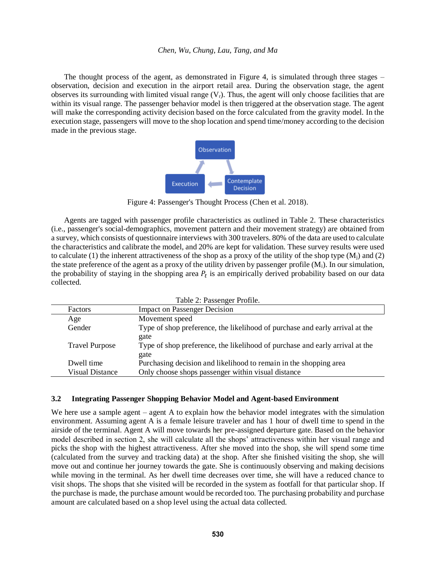The thought process of the agent, as demonstrated in Figure 4, is simulated through three stages – observation, decision and execution in the airport retail area. During the observation stage, the agent observes its surrounding with limited visual range  $(V_r)$ . Thus, the agent will only choose facilities that are within its visual range. The passenger behavior model is then triggered at the observation stage. The agent will make the corresponding activity decision based on the force calculated from the gravity model. In the execution stage, passengers will move to the shop location and spend time/money according to the decision made in the previous stage.



Figure 4: Passenger's Thought Process (Chen et al. 2018).

Agents are tagged with passenger profile characteristics as outlined in Table 2. These characteristics (i.e., passenger's social-demographics, movement pattern and their movement strategy) are obtained from a survey, which consists of questionnaire interviews with 300 travelers. 80% of the data are used to calculate the characteristics and calibrate the model, and 20% are kept for validation. These survey results were used to calculate (1) the inherent attractiveness of the shop as a proxy of the utility of the shop type  $(M<sub>i</sub>)$  and (2) the state preference of the agent as a proxy of the utility driven by passenger profile  $(M<sub>i</sub>)$ . In our simulation, the probability of staying in the shopping area  $P_t$  is an empirically derived probability based on our data collected.

| Table 2: Passenger Profile. |                                                                              |
|-----------------------------|------------------------------------------------------------------------------|
| Factors                     | <b>Impact on Passenger Decision</b>                                          |
| Age                         | Movement speed                                                               |
| Gender                      | Type of shop preference, the likelihood of purchase and early arrival at the |
|                             | gate                                                                         |
| <b>Travel Purpose</b>       | Type of shop preference, the likelihood of purchase and early arrival at the |
|                             | gate                                                                         |
| Dwell time                  | Purchasing decision and likelihood to remain in the shopping area            |
| Visual Distance             | Only choose shops passenger within visual distance                           |

#### **3.2 Integrating Passenger Shopping Behavior Model and Agent-based Environment**

We here use a sample agent – agent A to explain how the behavior model integrates with the simulation environment. Assuming agent A is a female leisure traveler and has 1 hour of dwell time to spend in the airside of the terminal. Agent A will move towards her pre-assigned departure gate. Based on the behavior model described in section 2, she will calculate all the shops' attractiveness within her visual range and picks the shop with the highest attractiveness. After she moved into the shop, she will spend some time (calculated from the survey and tracking data) at the shop. After she finished visiting the shop, she will move out and continue her journey towards the gate. She is continuously observing and making decisions while moving in the terminal. As her dwell time decreases over time, she will have a reduced chance to visit shops. The shops that she visited will be recorded in the system as footfall for that particular shop. If the purchase is made, the purchase amount would be recorded too. The purchasing probability and purchase amount are calculated based on a shop level using the actual data collected.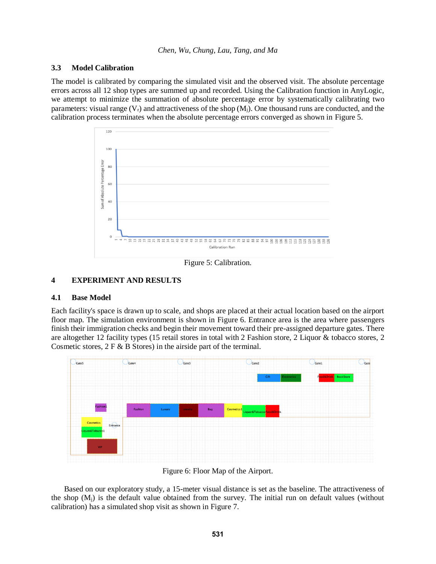### **3.3 Model Calibration**

The model is calibrated by comparing the simulated visit and the observed visit. The absolute percentage errors across all 12 shop types are summed up and recorded. Using the Calibration function in AnyLogic, we attempt to minimize the summation of absolute percentage error by systematically calibrating two parameters: visual range  $(V_r)$  and attractiveness of the shop  $(M_i)$ . One thousand runs are conducted, and the calibration process terminates when the absolute percentage errors converged as shown in Figure 5.



Figure 5: Calibration.

### **4 EXPERIMENT AND RESULTS**

#### **4.1 Base Model**

Each facility's space is drawn up to scale, and shops are placed at their actual location based on the airport floor map. The simulation environment is shown in Figure 6. Entrance area is the area where passengers finish their immigration checks and begin their movement toward their pre-assigned departure gates. There are altogether 12 facility types (15 retail stores in total with 2 Fashion store, 2 Liquor & tobacco stores, 2 Cosmetic stores,  $2 \mathbf{F} \& \mathbf{B}$  Stores) in the airside part of the terminal.



Figure 6: Floor Map of the Airport.

Based on our exploratory study, a 15-meter visual distance is set as the baseline. The attractiveness of the shop  $(M<sub>i</sub>)$  is the default value obtained from the survey. The initial run on default values (without calibration) has a simulated shop visit as shown in Figure 7.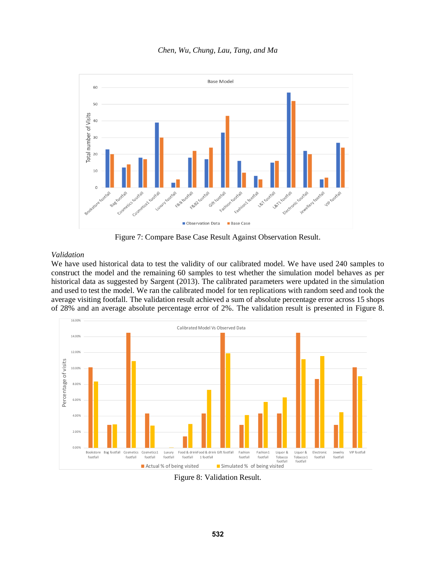

Figure 7: Compare Base Case Result Against Observation Result.

## *Validation*

We have used historical data to test the validity of our calibrated model. We have used 240 samples to construct the model and the remaining 60 samples to test whether the simulation model behaves as per historical data as suggested by Sargent (2013). The calibrated parameters were updated in the simulation and used to test the model. We ran the calibrated model for ten replications with random seed and took the average visiting footfall. The validation result achieved a sum of absolute percentage error across 15 shops of 28% and an average absolute percentage error of 2%. The validation result is presented in Figure 8.



Figure 8: Validation Result.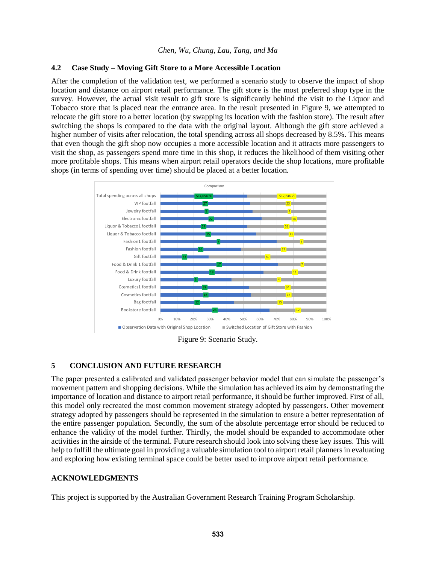### **4.2 Case Study – Moving Gift Store to a More Accessible Location**

After the completion of the validation test, we performed a scenario study to observe the impact of shop location and distance on airport retail performance. The gift store is the most preferred shop type in the survey. However, the actual visit result to gift store is significantly behind the visit to the Liquor and Tobacco store that is placed near the entrance area. In the result presented in Figure 9, we attempted to relocate the gift store to a better location (by swapping its location with the fashion store). The result after switching the shops is compared to the data with the original layout. Although the gift store achieved a higher number of visits after relocation, the total spending across all shops decreased by 8.5%. This means that even though the gift shop now occupies a more accessible location and it attracts more passengers to visit the shop, as passengers spend more time in this shop, it reduces the likelihood of them visiting other more profitable shops. This means when airport retail operators decide the shop locations, more profitable shops (in terms of spending over time) should be placed at a better location.



Figure 9: Scenario Study.

# **5 CONCLUSION AND FUTURE RESEARCH**

The paper presented a calibrated and validated passenger behavior model that can simulate the passenger's movement pattern and shopping decisions. While the simulation has achieved its aim by demonstrating the importance of location and distance to airport retail performance, it should be further improved. First of all, this model only recreated the most common movement strategy adopted by passengers. Other movement strategy adopted by passengers should be represented in the simulation to ensure a better representation of the entire passenger population. Secondly, the sum of the absolute percentage error should be reduced to enhance the validity of the model further. Thirdly, the model should be expanded to accommodate other activities in the airside of the terminal. Future research should look into solving these key issues. This will help to fulfill the ultimate goal in providing a valuable simulation tool to airport retail planners in evaluating and exploring how existing terminal space could be better used to improve airport retail performance.

## **ACKNOWLEDGMENTS**

This project is supported by the Australian Government Research Training Program Scholarship.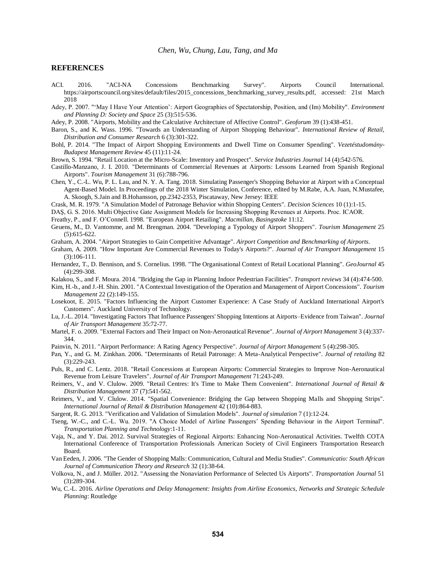#### **REFERENCES**

ACI. 2016. "ACI-NA Concessions Benchmarking Survey". Airports Council International. https://airportscouncil.org/sites/default/files/2015\_concessions\_benchmarking\_survey\_results.pdf, accessed: 21st March 2018

Adey, P. 2007. "'May I Have Your Attention': Airport Geographies of Spectatorship, Position, and (Im) Mobility". *Environment and Planning D: Society and Space* 25 (3):515-536.

Adey, P. 2008. "Airports, Mobility and the Calculative Architecture of Affective Control". *Geoforum* 39 (1):438-451.

- Baron, S., and K. Wass. 1996. "Towards an Understanding of Airport Shopping Behaviour". *International Review of Retail, Distribution and Consumer Research* 6 (3):301-322.
- Bohl, P. 2014. "The Impact of Airport Shopping Environments and Dwell Time on Consumer Spending". *Vezetéstudomány-Budapest Management Review* 45 (11):11-24.
- Brown, S. 1994. "Retail Location at the Micro-Scale: Inventory and Prospect". *Service Industries Journal* 14 (4):542-576.
- Castillo-Manzano, J. I. 2010. "Determinants of Commercial Revenues at Airports: Lessons Learned from Spanish Regional Airports". *Tourism Management* 31 (6):788-796.
- Chen, Y., C.-L. Wu, P. L. Lau, and N. Y. A. Tang. 2018. Simulating Passenger's Shopping Behavior at Airport with a Conceptual Agent-Based Model. In Proceedings of the 2018 Winter Simulation, Conference, edited by M.Rabe, A.A. Juan, N.Mustafee, A. Skoogh, S.Jain and B.Hohansson, pp.2342-2353, Piscataway, New Jersey: IEEE

Crask, M. R. 1979. "A Simulation Model of Patronage Behavior within Shopping Centers". *Decision Sciences* 10 (1):1-15.

DAŞ, G. S. 2016. Multi Objective Gate Assignment Models for Increasing Shopping Revenues at Airports. Proc. ICAOR.

Freathy, P., and F. O'Connell. 1998. "European Airport Retailing". *Macmillan, Basingstoke* 11:12.

Geuens, M., D. Vantomme, and M. Brengman. 2004. "Developing a Typology of Airport Shoppers". *Tourism Management* 25 (5):615-622.

Graham, A. 2004. "Airport Strategies to Gain Competitive Advantage". *Airport Competition and Benchmarking of Airports*.

- Graham, A. 2009. "How Important Are Commercial Revenues to Today's Airports?". *Journal of Air Transport Management* 15 (3):106-111.
- Hernandez, T., D. Bennison, and S. Cornelius. 1998. "The Organisational Context of Retail Locational Planning". *GeoJournal* 45 (4):299-308.

Kalakou, S., and F. Moura. 2014. "Bridging the Gap in Planning Indoor Pedestrian Facilities". *Transport reviews* 34 (4):474-500.

- Kim, H.-b., and J.-H. Shin. 2001. "A Contextual Investigation of the Operation and Management of Airport Concessions". *Tourism Management* 22 (2):149-155.
- Losekoot, E. 2015. "Factors Influencing the Airport Customer Experience: A Case Study of Auckland International Airport's Customers". Auckland University of Technology.
- Lu, J.-L. 2014. "Investigating Factors That Influence Passengers' Shopping Intentions at Airports–Evidence from Taiwan". *Journal of Air Transport Management* 35:72-77.
- Martel, F. o. 2009. "External Factors and Their Impact on Non-Aeronautical Revenue". *Journal of Airport Management* 3 (4):337- 344.
- Painvin, N. 2011. "Airport Performance: A Rating Agency Perspective". *Journal of Airport Management* 5 (4):298-305.
- Pan, Y., and G. M. Zinkhan. 2006. "Determinants of Retail Patronage: A Meta-Analytical Perspective". *Journal of retailing* 82 (3):229-243.

Puls, R., and C. Lentz. 2018. "Retail Concessions at European Airports: Commercial Strategies to Improve Non-Aeronautical Revenue from Leisure Travelers". *Journal of Air Transport Management* 71:243-249.

Reimers, V., and V. Clulow. 2009. "Retail Centres: It's Time to Make Them Convenient". *International Journal of Retail & Distribution Management* 37 (7):541-562.

- Reimers, V., and V. Clulow. 2014. "Spatial Convenience: Bridging the Gap between Shopping Malls and Shopping Strips". *International Journal of Retail & Distribution Management* 42 (10):864-883.
- Sargent, R. G. 2013. "Verification and Validation of Simulation Models". *Journal of simulation* 7 (1):12-24.

Tseng, W.-C., and C.-L. Wu. 2019. "A Choice Model of Airline Passengers' Spending Behaviour in the Airport Terminal". *Transportation Planning and Technology*:1-11.

- Vaja, N., and Y. Dai. 2012. Survival Strategies of Regional Airports: Enhancing Non-Aeronautical Activities. Twelfth COTA International Conference of Transportation Professionals American Society of Civil Engineers Transportation Research Board.
- Van Eeden, J. 2006. "The Gender of Shopping Malls: Communication, Cultural and Media Studies". *Communicatio: South African Journal of Communication Theory and Research* 32 (1):38-64.
- Volkova, N., and J. Müller. 2012. "Assessing the Nonaviation Performance of Selected Us Airports". *Transportation Journal* 51 (3):289-304.
- Wu, C.-L. 2016. *Airline Operations and Delay Management: Insights from Airline Economics, Networks and Strategic Schedule Planning*: Routledge